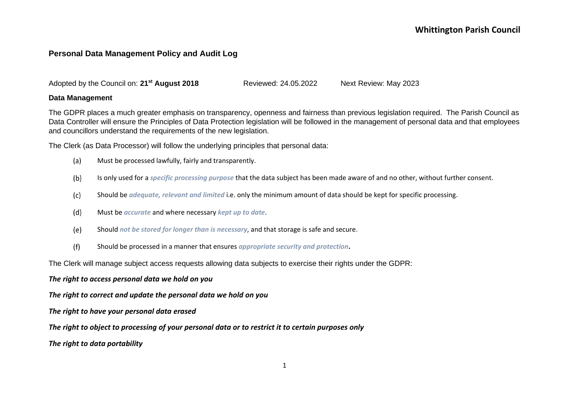### **Personal Data Management Policy and Audit Log**

Adopted by the Council on: **21st August 2018** Reviewed: 24.05.2022 Next Review: May 2023

#### **Data Management**

The GDPR places a much greater emphasis on transparency, openness and fairness than previous legislation required. The Parish Council as Data Controller will ensure the Principles of Data Protection legislation will be followed in the management of personal data and that employees and councillors understand the requirements of the new legislation.

The Clerk (as Data Processor) will follow the underlying principles that personal data:

- $(a)$ Must be processed lawfully, fairly and transparently.
- $(b)$ Is only used for a *specific processing purpose* that the data subject has been made aware of and no other, without further consent.
- $(c)$ Should be *adequate, relevant and limited* i.e. only the minimum amount of data should be kept for specific processing.
- $(d)$ Must be *accurate* and where necessary *kept up to date*.
- $(e)$ Should *not be stored for longer than is necessary*, and that storage is safe and secure.
- $(f)$ Should be processed in a manner that ensures *appropriate security and protection***.**

The Clerk will manage subject access requests allowing data subjects to exercise their rights under the GDPR:

#### *The right to access personal data we hold on you*

*The right to correct and update the personal data we hold on you*

*The right to have your personal data erased*

*The right to object to processing of your personal data or to restrict it to certain purposes only*

*The right to data portability*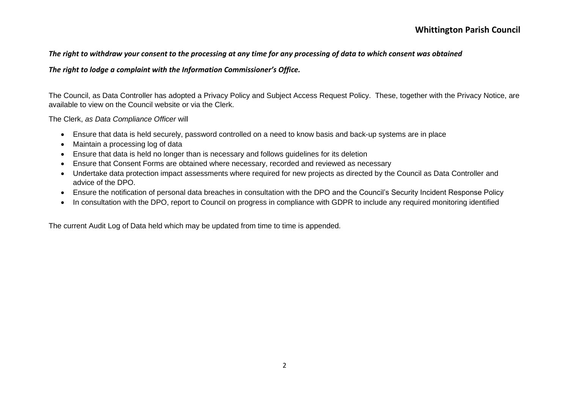#### *The right to withdraw your consent to the processing at any time for any processing of data to which consent was obtained*

#### *The right to lodge a complaint with the Information Commissioner's Office.*

The Council, as Data Controller has adopted a Privacy Policy and Subject Access Request Policy. These, together with the Privacy Notice, are available to view on the Council website or via the Clerk.

The Clerk, *as Data Compliance Officer* will

- Ensure that data is held securely, password controlled on a need to know basis and back-up systems are in place
- Maintain a processing log of data
- Ensure that data is held no longer than is necessary and follows guidelines for its deletion
- Ensure that Consent Forms are obtained where necessary, recorded and reviewed as necessary
- Undertake data protection impact assessments where required for new projects as directed by the Council as Data Controller and advice of the DPO.
- Ensure the notification of personal data breaches in consultation with the DPO and the Council's Security Incident Response Policy
- In consultation with the DPO, report to Council on progress in compliance with GDPR to include any required monitoring identified

The current Audit Log of Data held which may be updated from time to time is appended.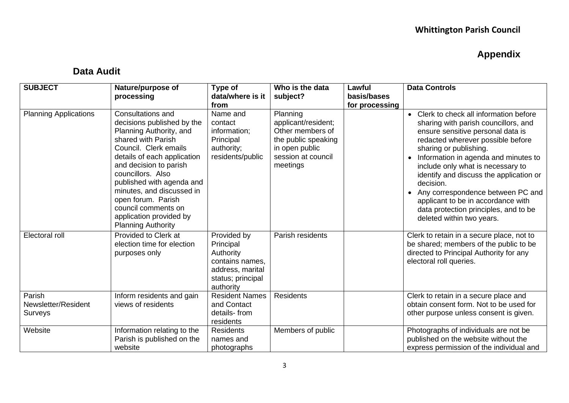# **Appendix**

## **Data Audit**

| <b>SUBJECT</b>                           | Nature/purpose of<br>processing                                                                                                                                                                                                                                                                                                                                        | Type of<br>data/where is it<br>from                                                                            | Who is the data<br>subject?                                                                                                    | Lawful<br>basis/bases<br>for processing | <b>Data Controls</b>                                                                                                                                                                                                                                                                                                                                                                                                                                                    |
|------------------------------------------|------------------------------------------------------------------------------------------------------------------------------------------------------------------------------------------------------------------------------------------------------------------------------------------------------------------------------------------------------------------------|----------------------------------------------------------------------------------------------------------------|--------------------------------------------------------------------------------------------------------------------------------|-----------------------------------------|-------------------------------------------------------------------------------------------------------------------------------------------------------------------------------------------------------------------------------------------------------------------------------------------------------------------------------------------------------------------------------------------------------------------------------------------------------------------------|
| <b>Planning Applications</b>             | Consultations and<br>decisions published by the<br>Planning Authority, and<br>shared with Parish<br>Council. Clerk emails<br>details of each application<br>and decision to parish<br>councillors. Also<br>published with agenda and<br>minutes, and discussed in<br>open forum. Parish<br>council comments on<br>application provided by<br><b>Planning Authority</b> | Name and<br>contact<br>information;<br>Principal<br>authority;<br>residents/public                             | Planning<br>applicant/resident;<br>Other members of<br>the public speaking<br>in open public<br>session at council<br>meetings |                                         | Clerk to check all information before<br>sharing with parish councillors, and<br>ensure sensitive personal data is<br>redacted wherever possible before<br>sharing or publishing.<br>Information in agenda and minutes to<br>include only what is necessary to<br>identify and discuss the application or<br>decision.<br>Any correspondence between PC and<br>applicant to be in accordance with<br>data protection principles, and to be<br>deleted within two years. |
| Electoral roll                           | Provided to Clerk at<br>election time for election<br>purposes only                                                                                                                                                                                                                                                                                                    | Provided by<br>Principal<br>Authority<br>contains names,<br>address, marital<br>status; principal<br>authority | Parish residents                                                                                                               |                                         | Clerk to retain in a secure place, not to<br>be shared; members of the public to be<br>directed to Principal Authority for any<br>electoral roll queries.                                                                                                                                                                                                                                                                                                               |
| Parish<br>Newsletter/Resident<br>Surveys | Inform residents and gain<br>views of residents                                                                                                                                                                                                                                                                                                                        | <b>Resident Names</b><br>and Contact<br>details-from<br>residents                                              | <b>Residents</b>                                                                                                               |                                         | Clerk to retain in a secure place and<br>obtain consent form. Not to be used for<br>other purpose unless consent is given.                                                                                                                                                                                                                                                                                                                                              |
| Website                                  | Information relating to the<br>Parish is published on the<br>website                                                                                                                                                                                                                                                                                                   | <b>Residents</b><br>names and<br>photographs                                                                   | Members of public                                                                                                              |                                         | Photographs of individuals are not be<br>published on the website without the<br>express permission of the individual and                                                                                                                                                                                                                                                                                                                                               |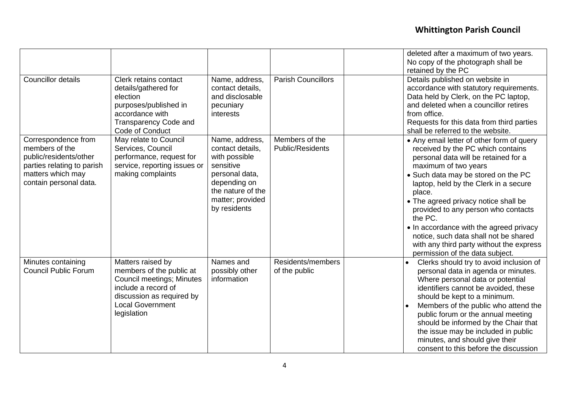|                                                                                                                                              |                                                                                                                                                                                 |                                                                                                                                                             |                                    | deleted after a maximum of two years.<br>No copy of the photograph shall be<br>retained by the PC                                                                                                                                                                                                                                                                                                                                                                                                     |
|----------------------------------------------------------------------------------------------------------------------------------------------|---------------------------------------------------------------------------------------------------------------------------------------------------------------------------------|-------------------------------------------------------------------------------------------------------------------------------------------------------------|------------------------------------|-------------------------------------------------------------------------------------------------------------------------------------------------------------------------------------------------------------------------------------------------------------------------------------------------------------------------------------------------------------------------------------------------------------------------------------------------------------------------------------------------------|
| <b>Councillor details</b>                                                                                                                    | Clerk retains contact<br>details/gathered for<br>election<br>purposes/published in<br>accordance with<br>Transparency Code and<br>Code of Conduct                               | Name, address,<br>contact details,<br>and disclosable<br>pecuniary<br>interests                                                                             | <b>Parish Councillors</b>          | Details published on website in<br>accordance with statutory requirements.<br>Data held by Clerk, on the PC laptop,<br>and deleted when a councillor retires<br>from office.<br>Requests for this data from third parties<br>shall be referred to the website.                                                                                                                                                                                                                                        |
| Correspondence from<br>members of the<br>public/residents/other<br>parties relating to parish<br>matters which may<br>contain personal data. | May relate to Council<br>Services, Council<br>performance, request for<br>service, reporting issues or<br>making complaints                                                     | Name, address,<br>contact details,<br>with possible<br>sensitive<br>personal data,<br>depending on<br>the nature of the<br>matter; provided<br>by residents | Members of the<br>Public/Residents | • Any email letter of other form of query<br>received by the PC which contains<br>personal data will be retained for a<br>maximum of two years<br>• Such data may be stored on the PC<br>laptop, held by the Clerk in a secure<br>place.<br>• The agreed privacy notice shall be<br>provided to any person who contacts<br>the PC.<br>• In accordance with the agreed privacy<br>notice, such data shall not be shared<br>with any third party without the express<br>permission of the data subject. |
| Minutes containing<br><b>Council Public Forum</b>                                                                                            | Matters raised by<br>members of the public at<br><b>Council meetings; Minutes</b><br>include a record of<br>discussion as required by<br><b>Local Government</b><br>legislation | Names and<br>possibly other<br>information                                                                                                                  | Residents/members<br>of the public | Clerks should try to avoid inclusion of<br>personal data in agenda or minutes.<br>Where personal data or potential<br>identifiers cannot be avoided, these<br>should be kept to a minimum.<br>Members of the public who attend the<br>public forum or the annual meeting<br>should be informed by the Chair that<br>the issue may be included in public<br>minutes, and should give their<br>consent to this before the discussion                                                                    |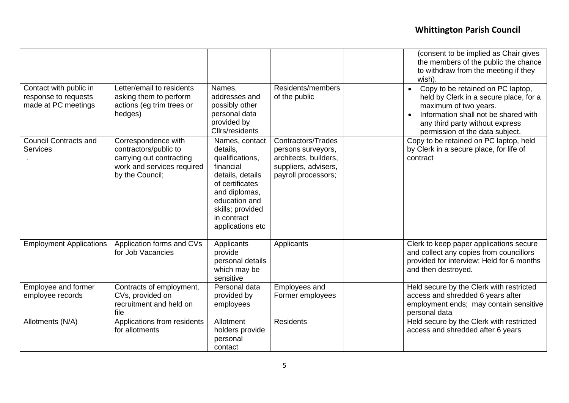|                                                                       |                                                                                                                           |                                                                                                                                                                                            |                                                                                                                         | (consent to be implied as Chair gives<br>the members of the public the chance<br>to withdraw from the meeting if they<br>wish).                                                                                                 |
|-----------------------------------------------------------------------|---------------------------------------------------------------------------------------------------------------------------|--------------------------------------------------------------------------------------------------------------------------------------------------------------------------------------------|-------------------------------------------------------------------------------------------------------------------------|---------------------------------------------------------------------------------------------------------------------------------------------------------------------------------------------------------------------------------|
| Contact with public in<br>response to requests<br>made at PC meetings | Letter/email to residents<br>asking them to perform<br>actions (eg trim trees or<br>hedges)                               | Names,<br>addresses and<br>possibly other<br>personal data<br>provided by<br>Cllrs/residents                                                                                               | Residents/members<br>of the public                                                                                      | Copy to be retained on PC laptop,<br>held by Clerk in a secure place, for a<br>maximum of two years.<br>Information shall not be shared with<br>$\bullet$<br>any third party without express<br>permission of the data subject. |
| <b>Council Contracts and</b><br><b>Services</b>                       | Correspondence with<br>contractors/public to<br>carrying out contracting<br>work and services required<br>by the Council; | Names, contact<br>details,<br>qualifications,<br>financial<br>details, details<br>of certificates<br>and diplomas,<br>education and<br>skills; provided<br>in contract<br>applications etc | <b>Contractors/Trades</b><br>persons surveyors,<br>architects, builders,<br>suppliers, advisers,<br>payroll processors; | Copy to be retained on PC laptop, held<br>by Clerk in a secure place, for life of<br>contract                                                                                                                                   |
| <b>Employment Applications</b>                                        | Application forms and CVs<br>for Job Vacancies                                                                            | Applicants<br>provide<br>personal details<br>which may be<br>sensitive                                                                                                                     | Applicants                                                                                                              | Clerk to keep paper applications secure<br>and collect any copies from councillors<br>provided for interview; Held for 6 months<br>and then destroyed.                                                                          |
| Employee and former<br>employee records                               | Contracts of employment,<br>CVs, provided on<br>recruitment and held on<br>file                                           | Personal data<br>provided by<br>employees                                                                                                                                                  | Employees and<br>Former employees                                                                                       | Held secure by the Clerk with restricted<br>access and shredded 6 years after<br>employment ends; may contain sensitive<br>personal data                                                                                        |
| Allotments (N/A)                                                      | Applications from residents<br>for allotments                                                                             | Allotment<br>holders provide<br>personal<br>contact                                                                                                                                        | <b>Residents</b>                                                                                                        | Held secure by the Clerk with restricted<br>access and shredded after 6 years                                                                                                                                                   |